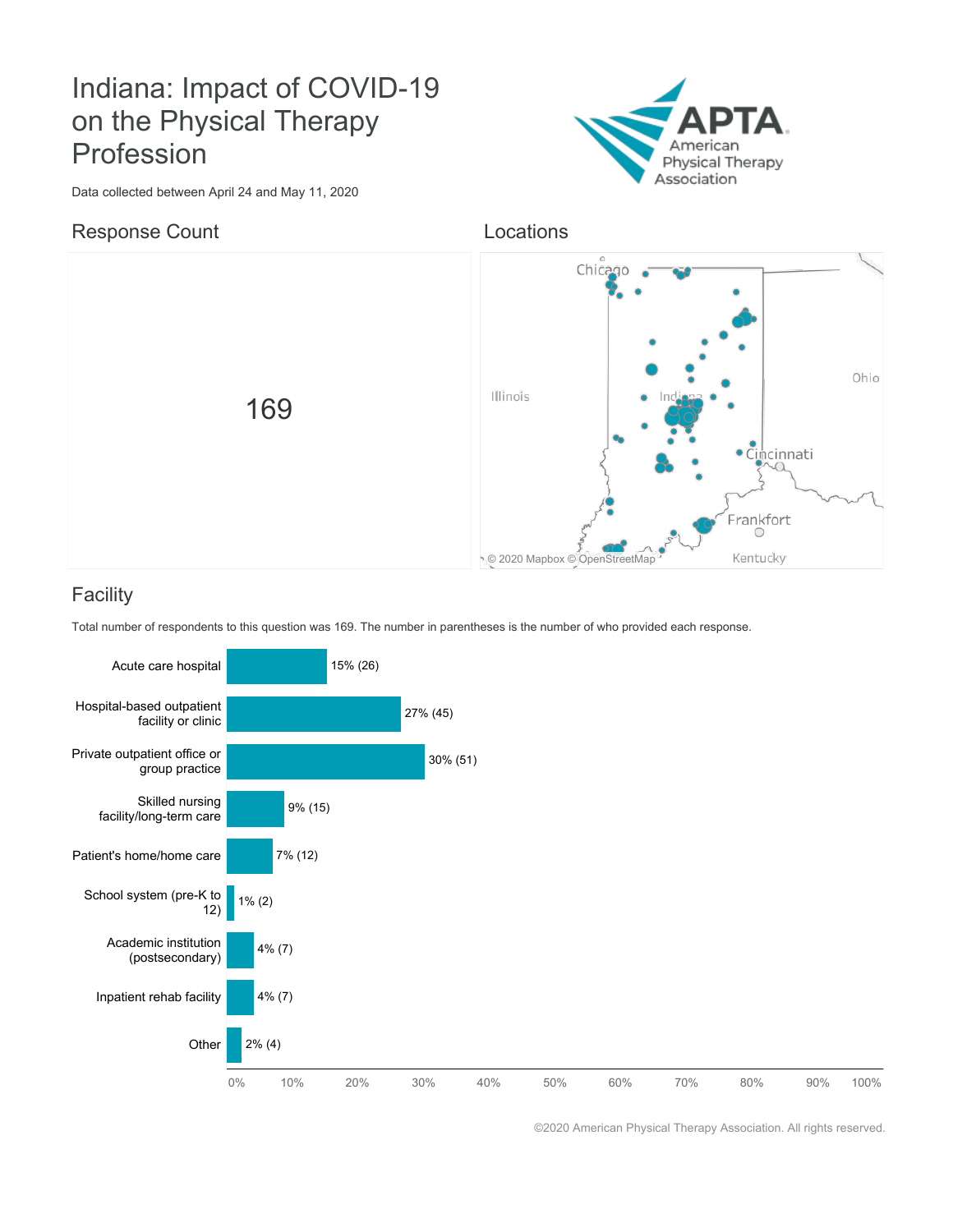# Indiana: Impact of COVID-19 on the Physical Therapy Profession



Data collected between April 24 and May 11, 2020

#### Response Count

Locations



### **Facility**

Total number of respondents to this question was 169. The number in parentheses is the number of who provided each response.

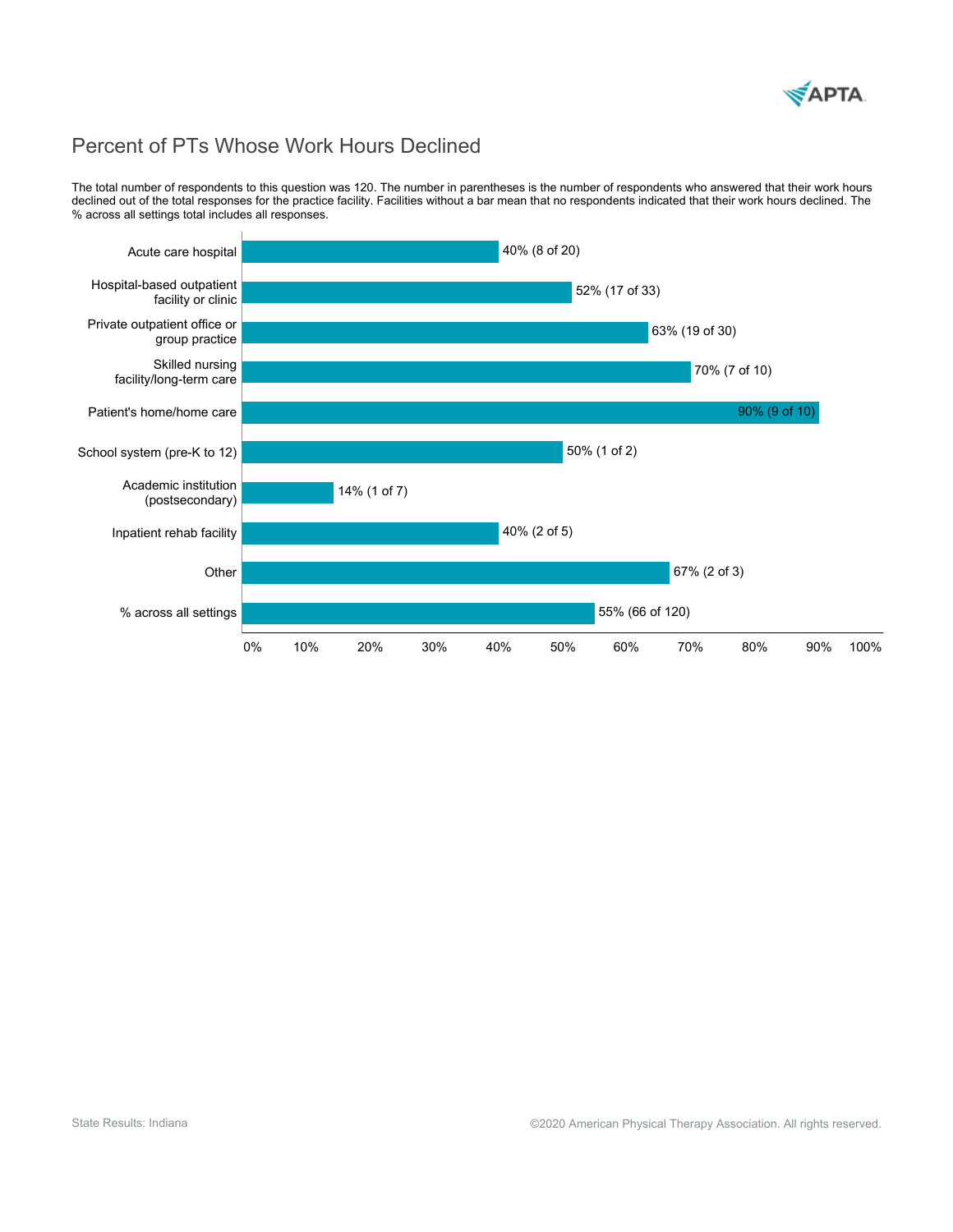

# Percent of PTs Whose Work Hours Declined

The total number of respondents to this question was 120. The number in parentheses is the number of respondents who answered that their work hours declined out of the total responses for the practice facility. Facilities without a bar mean that no respondents indicated that their work hours declined. The % across all settings total includes all responses.

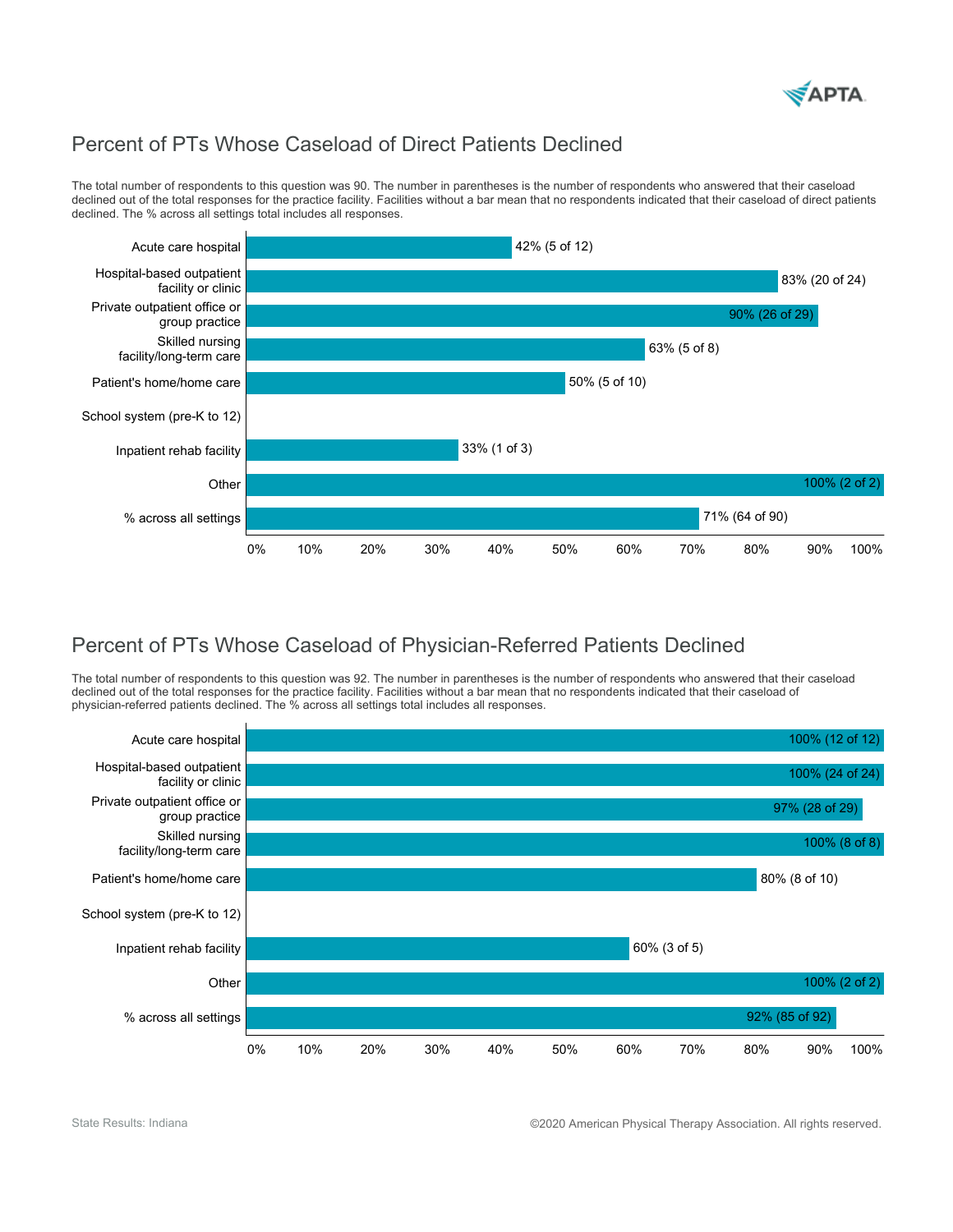

## Percent of PTs Whose Caseload of Direct Patients Declined

The total number of respondents to this question was 90. The number in parentheses is the number of respondents who answered that their caseload declined out of the total responses for the practice facility. Facilities without a bar mean that no respondents indicated that their caseload of direct patients declined. The % across all settings total includes all responses.



### Percent of PTs Whose Caseload of Physician-Referred Patients Declined

The total number of respondents to this question was 92. The number in parentheses is the number of respondents who answered that their caseload declined out of the total responses for the practice facility. Facilities without a bar mean that no respondents indicated that their caseload of physician-referred patients declined. The % across all settings total includes all responses.



State Results: Indiana **COLO American Physical Therapy Association. All rights reserved.**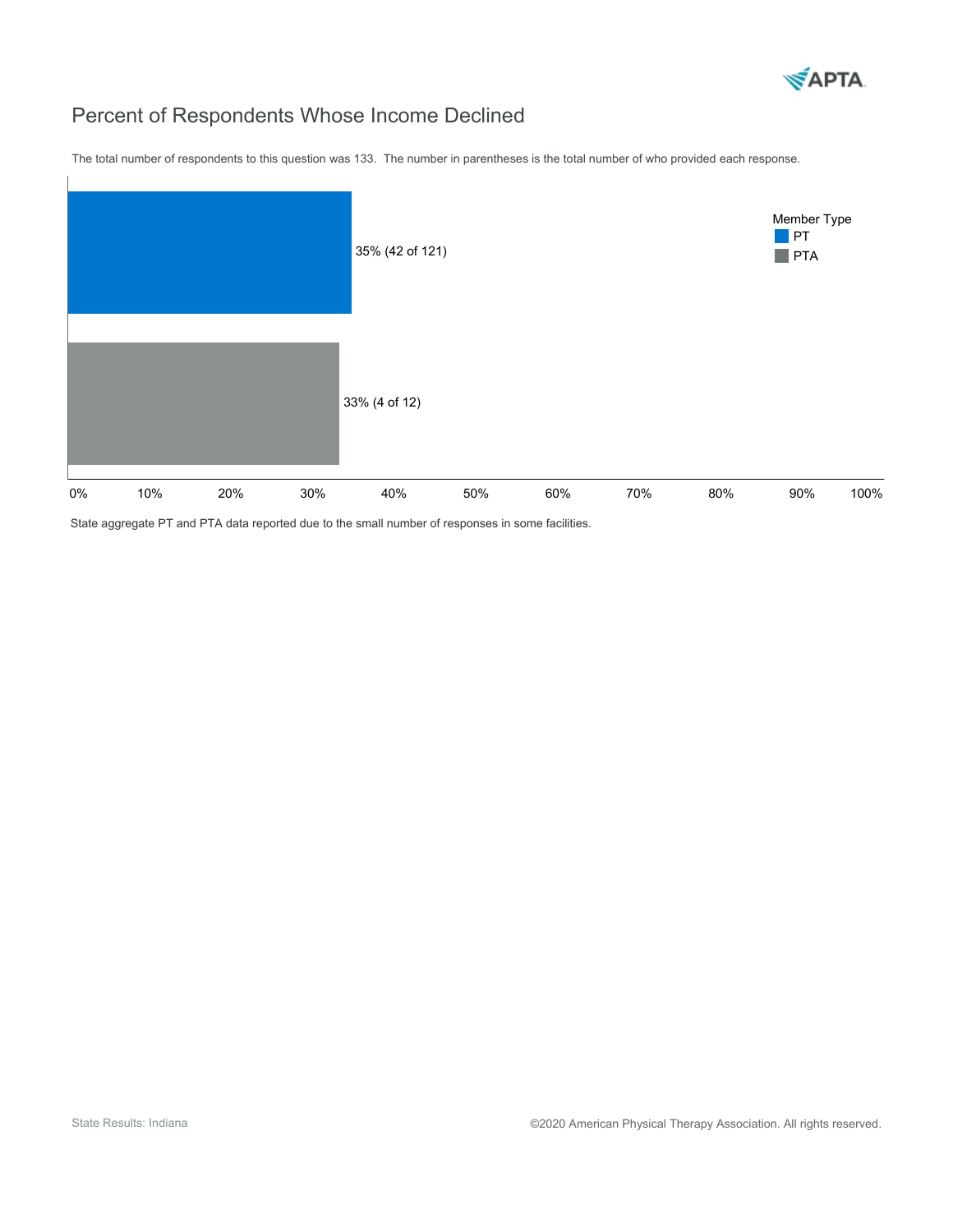

# Percent of Respondents Whose Income Declined

The total number of respondents to this question was 133. The number in parentheses is the total number of who provided each response.



State aggregate PT and PTA data reported due to the small number of responses in some facilities.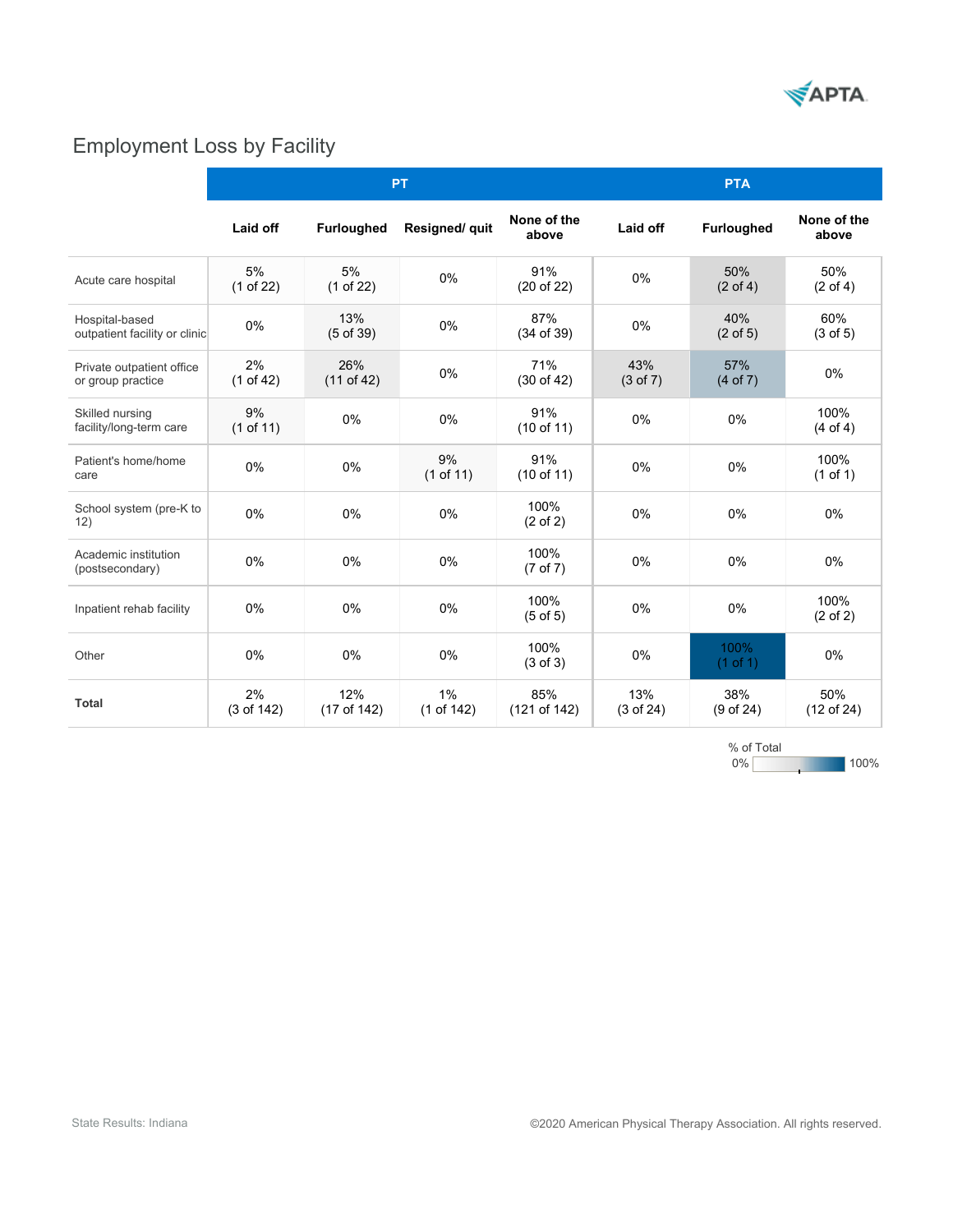

# Employment Loss by Facility

|                                                 | <b>PT</b>        |                     |                  |                             | <b>PTA</b>                 |                            |                             |  |  |
|-------------------------------------------------|------------------|---------------------|------------------|-----------------------------|----------------------------|----------------------------|-----------------------------|--|--|
|                                                 | Laid off         | <b>Furloughed</b>   | Resigned/ quit   | None of the<br>above        | Laid off                   | Furloughed                 | None of the<br>above        |  |  |
| Acute care hospital                             | 5%<br>(1 of 22)  | 5%<br>(1 of 22)     | 0%               | 91%<br>(20 of 22)           | 0%                         | 50%<br>$(2 \text{ of } 4)$ | 50%<br>$(2 \text{ of } 4)$  |  |  |
| Hospital-based<br>outpatient facility or clinic | 0%               | 13%<br>$(5$ of 39)  | 0%               | 87%<br>(34 of 39)           | 0%                         | 40%<br>$(2 \text{ of } 5)$ | 60%<br>$(3 \text{ of } 5)$  |  |  |
| Private outpatient office<br>or group practice  | 2%<br>(1 of 42)  | 26%<br>$(11$ of 42) | 0%               | 71%<br>(30 of 42)           | 43%<br>$(3 \text{ of } 7)$ | 57%<br>(4 of 7)            | 0%                          |  |  |
| Skilled nursing<br>facility/long-term care      | 9%<br>(1 of 11)  | $0\%$               | 0%               | 91%<br>(10 of 11)           | 0%                         | 0%                         | 100%<br>$(4$ of 4)          |  |  |
| Patient's home/home<br>care                     | 0%               | 0%                  | 9%<br>(1 of 11)  | 91%<br>(10 of 11)           | 0%                         | 0%                         | 100%<br>(1 of 1)            |  |  |
| School system (pre-K to<br>12)                  | 0%               | 0%                  | 0%               | 100%<br>$(2 \text{ of } 2)$ | 0%                         | 0%                         | 0%                          |  |  |
| Academic institution<br>(postsecondary)         | 0%               | $0\%$               | 0%               | 100%<br>(7 of 7)            | 0%                         | 0%                         | 0%                          |  |  |
| Inpatient rehab facility                        | 0%               | $0\%$               | 0%               | 100%<br>$(5 \text{ of } 5)$ | 0%                         | 0%                         | 100%<br>$(2 \text{ of } 2)$ |  |  |
| Other                                           | 0%               | 0%                  | 0%               | 100%<br>$(3 \text{ of } 3)$ | 0%                         | 100%<br>$(1$ of 1)         | 0%                          |  |  |
| <b>Total</b>                                    | 2%<br>(3 of 142) | 12%<br>(17 of 142)  | 1%<br>(1 of 142) | 85%<br>(121 of 142)         | 13%<br>(3 of 24)           | 38%<br>(9 of 24)           | 50%<br>$(12$ of 24)         |  |  |

0% %ofTotal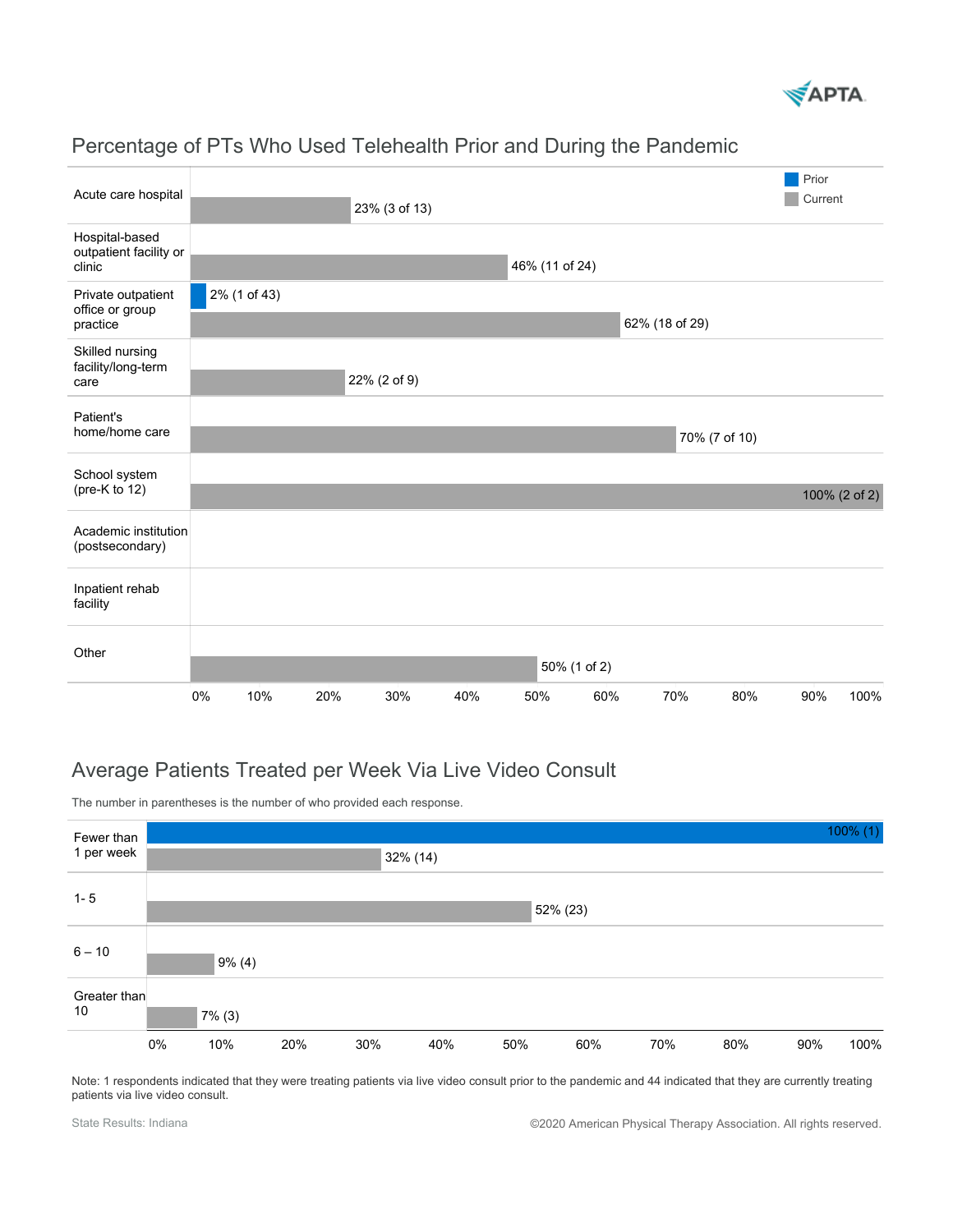

|                                                    |               |              |     |              |     |                |     |                |               |     | Prior |               |
|----------------------------------------------------|---------------|--------------|-----|--------------|-----|----------------|-----|----------------|---------------|-----|-------|---------------|
| Acute care hospital                                | 23% (3 of 13) |              |     |              |     |                |     |                | Current       |     |       |               |
| Hospital-based<br>outpatient facility or<br>clinic |               |              |     |              |     | 46% (11 of 24) |     |                |               |     |       |               |
| Private outpatient<br>office or group<br>practice  |               | 2% (1 of 43) |     |              |     |                |     |                |               |     |       |               |
|                                                    |               |              |     |              |     |                |     | 62% (18 of 29) |               |     |       |               |
| Skilled nursing<br>facility/long-term<br>care      |               |              |     |              |     |                |     |                |               |     |       |               |
|                                                    |               |              |     | 22% (2 of 9) |     |                |     |                |               |     |       |               |
| Patient's<br>home/home care                        |               |              |     |              |     |                |     |                |               |     |       |               |
|                                                    |               |              |     |              |     |                |     |                | 70% (7 of 10) |     |       |               |
| School system<br>(pre-K to 12)                     |               |              |     |              |     |                |     |                |               |     |       |               |
|                                                    |               |              |     |              |     |                |     |                |               |     |       | 100% (2 of 2) |
| Academic institution<br>(postsecondary)            |               |              |     |              |     |                |     |                |               |     |       |               |
| Inpatient rehab<br>facility                        |               |              |     |              |     |                |     |                |               |     |       |               |
| Other                                              |               |              |     |              |     |                |     |                |               |     |       |               |
|                                                    |               |              |     |              |     | 50% (1 of 2)   |     |                |               |     |       |               |
|                                                    | 0%            | 10%          | 20% | 30%          | 40% | 50%            | 60% | 70%            |               | 80% | 90%   | 100%          |

#### Percentage of PTs Who Used Telehealth Prior and During the Pandemic

### Average Patients Treated per Week Via Live Video Consult

The number in parentheses is the number of who provided each response.



Note: 1 respondents indicated that they were treating patients via live video consult prior to the pandemic and 44 indicated that they are currently treating patients via live video consult.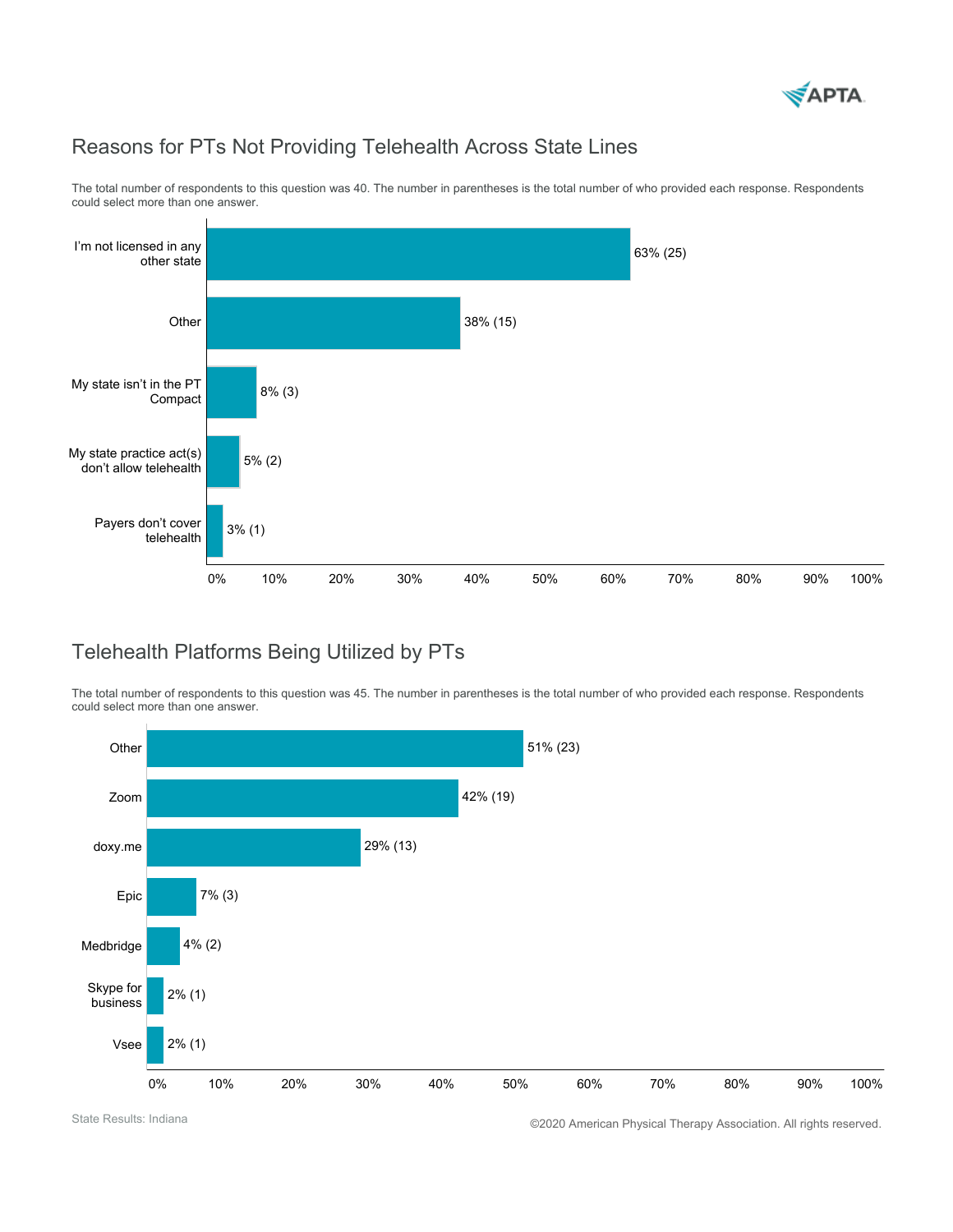

### Reasons for PTs Not Providing Telehealth Across State Lines



The total number of respondents to this question was 40. The number in parentheses is the total number of who provided each response. Respondents could select more than one answer.

### Telehealth Platforms Being Utilized by PTs

The total number of respondents to this question was 45. The number in parentheses is the total number of who provided each response. Respondents could select more than one answer.



State Results: Indiana **COLO American Physical Therapy Association.** All rights reserved.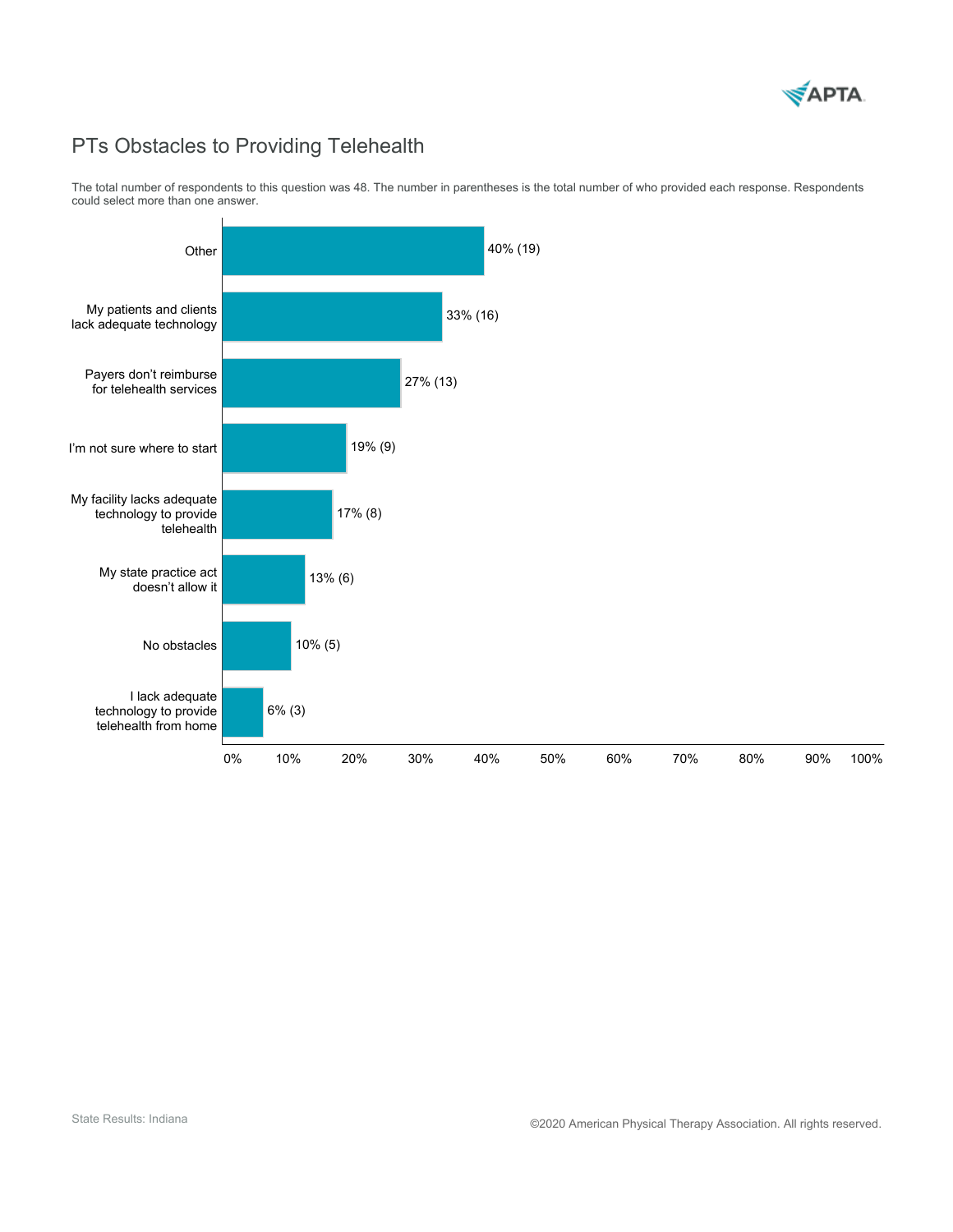

# PTs Obstacles to Providing Telehealth

The total number of respondents to this question was 48. The number in parentheses is the total number of who provided each response. Respondents could select more than one answer.

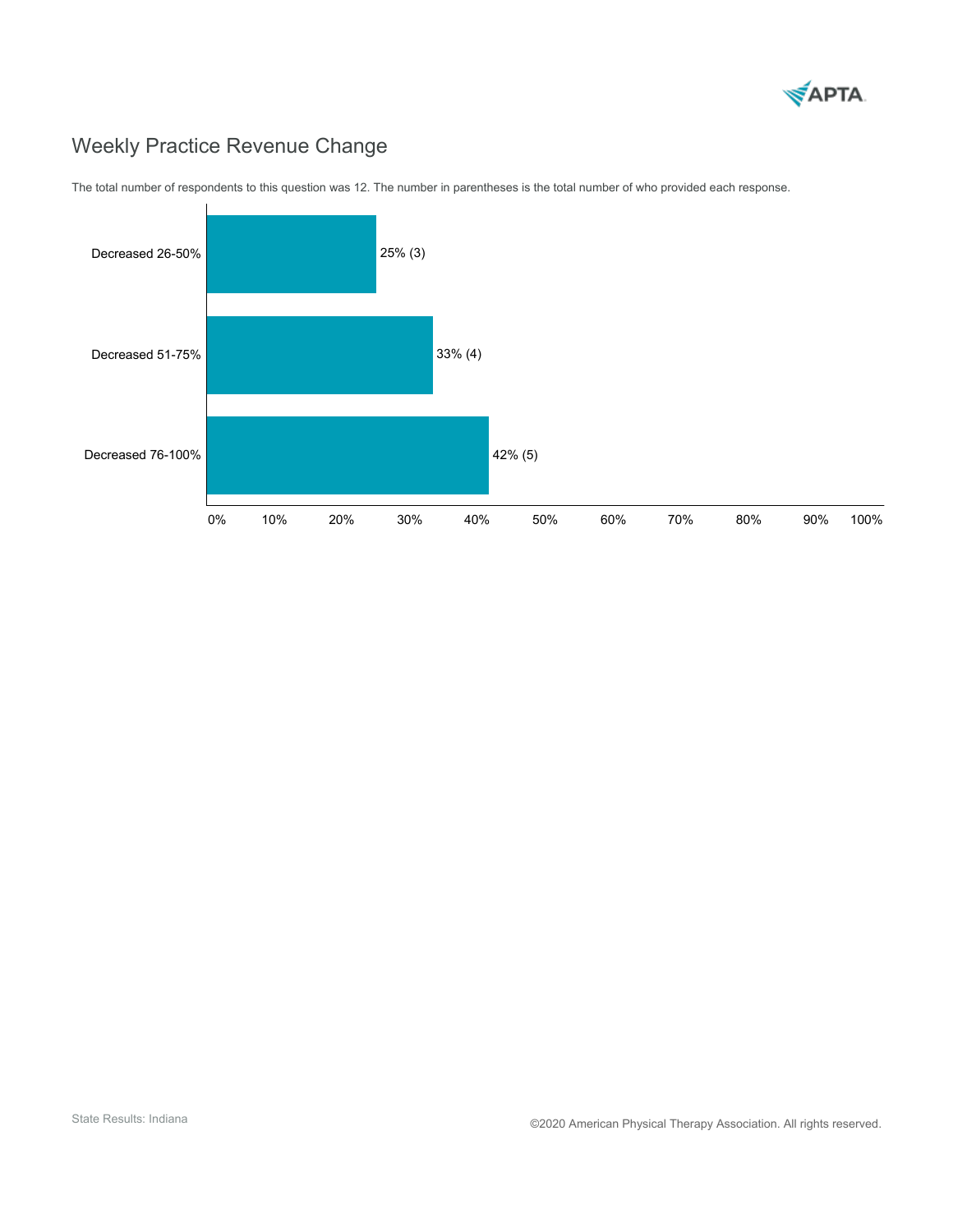

# Weekly Practice Revenue Change



The total number of respondents to this question was 12. The number in parentheses is the total number of who provided each response.